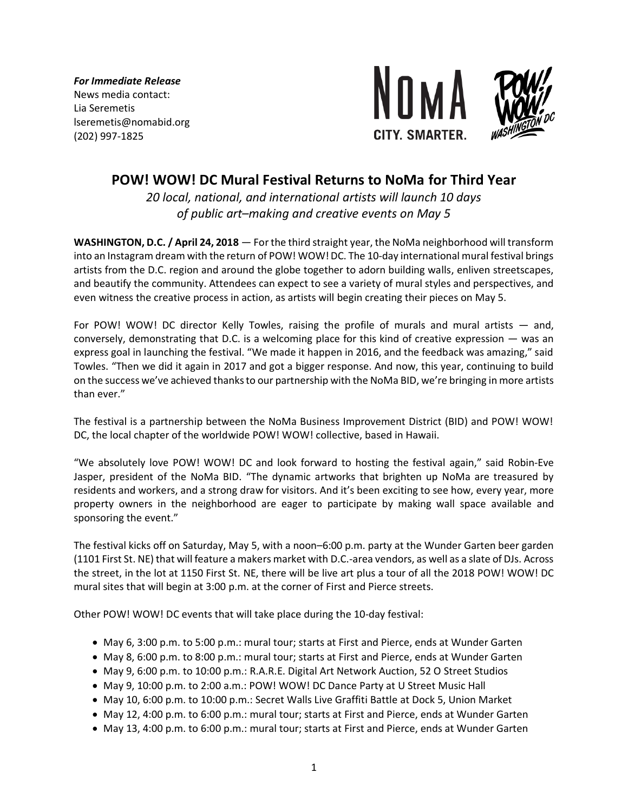*For Immediate Release* News media contact: Lia Seremetis lseremetis@nomabid.org (202) 997-1825



# **POW! WOW! DC Mural Festival Returns to NoMa for Third Year**

*20 local, national, and international artists will launch 10 days of public art–making and creative events on May 5*

**WASHINGTON, D.C. / April 24, 2018** — For the third straight year, the NoMa neighborhood will transform into an Instagram dream with the return of POW! WOW! DC. The 10-day international mural festival brings artists from the D.C. region and around the globe together to adorn building walls, enliven streetscapes, and beautify the community. Attendees can expect to see a variety of mural styles and perspectives, and even witness the creative process in action, as artists will begin creating their pieces on May 5.

For POW! WOW! DC director Kelly Towles, raising the profile of murals and mural artists — and, conversely, demonstrating that D.C. is a welcoming place for this kind of creative expression — was an express goal in launching the festival. "We made it happen in 2016, and the feedback was amazing," said Towles. "Then we did it again in 2017 and got a bigger response. And now, this year, continuing to build on the success we've achieved thanks to our partnership with the NoMa BID, we're bringing in more artists than ever."

The festival is a partnership between the NoMa Business Improvement District (BID) and POW! WOW! DC, the local chapter of the worldwide POW! WOW! collective, based in Hawaii.

"We absolutely love POW! WOW! DC and look forward to hosting the festival again," said Robin-Eve Jasper, president of the NoMa BID. "The dynamic artworks that brighten up NoMa are treasured by residents and workers, and a strong draw for visitors. And it's been exciting to see how, every year, more property owners in the neighborhood are eager to participate by making wall space available and sponsoring the event."

The festival kicks off on Saturday, May 5, with a noon–6:00 p.m. party at the Wunder Garten beer garden (1101 First St. NE) that will feature a makers market with D.C.-area vendors, as well as a slate of DJs. Across the street, in the lot at 1150 First St. NE, there will be live art plus a tour of all the 2018 POW! WOW! DC mural sites that will begin at 3:00 p.m. at the corner of First and Pierce streets.

Other POW! WOW! DC events that will take place during the 10-day festival:

- May 6, 3:00 p.m. to 5:00 p.m.: mural tour; starts at First and Pierce, ends at Wunder Garten
- May 8, 6:00 p.m. to 8:00 p.m.: mural tour; starts at First and Pierce, ends at Wunder Garten
- May 9, 6:00 p.m. to 10:00 p.m.: R.A.R.E. Digital Art Network Auction, 52 O Street Studios
- May 9, 10:00 p.m. to 2:00 a.m.: POW! WOW! DC Dance Party at U Street Music Hall
- May 10, 6:00 p.m. to 10:00 p.m.: Secret Walls Live Graffiti Battle at Dock 5, Union Market
- May 12, 4:00 p.m. to 6:00 p.m.: mural tour; starts at First and Pierce, ends at Wunder Garten
- May 13, 4:00 p.m. to 6:00 p.m.: mural tour; starts at First and Pierce, ends at Wunder Garten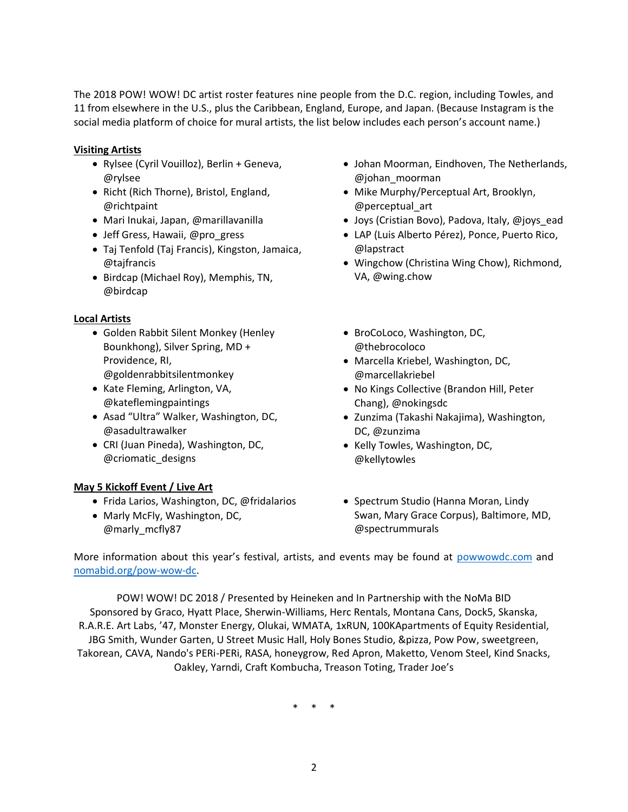The 2018 POW! WOW! DC artist roster features nine people from the D.C. region, including Towles, and 11 from elsewhere in the U.S., plus the Caribbean, England, Europe, and Japan. (Because Instagram is the social media platform of choice for mural artists, the list below includes each person's account name.)

### **Visiting Artists**

- Rylsee (Cyril Vouilloz), Berlin + Geneva, @rylsee
- Richt (Rich Thorne), Bristol, England, @richtpaint
- Mari Inukai, Japan, @marillavanilla
- Jeff Gress, Hawaii, @pro\_gress
- Taj Tenfold (Taj Francis), Kingston, Jamaica, @tajfrancis
- Birdcap (Michael Roy), Memphis, TN, @birdcap

## **Local Artists**

- Golden Rabbit Silent Monkey (Henley Bounkhong), Silver Spring, MD + Providence, RI, @goldenrabbitsilentmonkey
- Kate Fleming, Arlington, VA, @kateflemingpaintings
- Asad "Ultra" Walker, Washington, DC, @asadultrawalker
- CRI (Juan Pineda), Washington, DC, @criomatic\_designs

# **May 5 Kickoff Event / Live Art**

- Frida Larios, Washington, DC, @fridalarios
- Marly McFly, Washington, DC, @marly\_mcfly87
- Johan Moorman, Eindhoven, The Netherlands, @johan\_moorman
- Mike Murphy/Perceptual Art, Brooklyn, @perceptual\_art
- Joys (Cristian Bovo), Padova, Italy, @joys\_ead
- LAP (Luis Alberto Pérez), Ponce, Puerto Rico, @lapstract
- Wingchow (Christina Wing Chow), Richmond, VA, @wing.chow
- BroCoLoco, Washington, DC, @thebrocoloco
- Marcella Kriebel, Washington, DC, @marcellakriebel
- No Kings Collective (Brandon Hill, Peter Chang), @nokingsdc
- Zunzima (Takashi Nakajima), Washington, DC, @zunzima
- Kelly Towles, Washington, DC, @kellytowles
- Spectrum Studio (Hanna Moran, Lindy Swan, Mary Grace Corpus), Baltimore, MD, @spectrummurals

More information about this year's festival, artists, and events may be found at [powwowdc.com](http://powwowdc.com/) and [nomabid.org/pow-wow-dc.](https://nomabid.org/pow-wow-dc)

POW! WOW! DC 2018 / Presented by Heineken and In Partnership with the NoMa BID Sponsored by Graco, Hyatt Place, Sherwin-Williams, Herc Rentals, Montana Cans, Dock5, Skanska, R.A.R.E. Art Labs, '47, Monster Energy, Olukai, WMATA, 1xRUN, 100KApartments of Equity Residential, JBG Smith, Wunder Garten, U Street Music Hall, Holy Bones Studio, &pizza, Pow Pow, sweetgreen, Takorean, CAVA, Nando's PERi-PERi, RASA, honeygrow, Red Apron, Maketto, Venom Steel, Kind Snacks, Oakley, Yarndi, Craft Kombucha, Treason Toting, Trader Joe's

\* \* \*